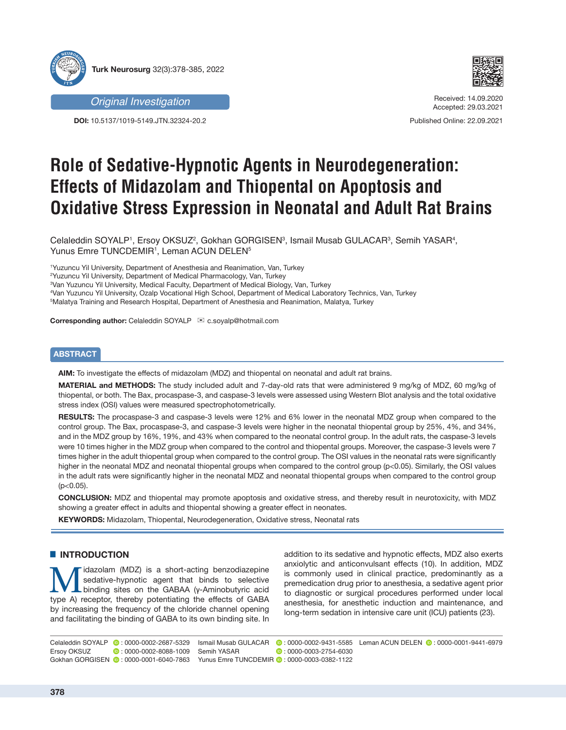





Received: 14.09.2020 Accepted: 29.03.2021

Published Online: 22.09.2021

# **Role of Sedative-Hypnotic Agents in Neurodegeneration: Effects of Midazolam and Thiopental on Apoptosis and Oxidative Stress Expression in Neonatal and Adult Rat Brains**

Celaleddin SOYALP1, Ersoy OKSUZ², Gokhan GORGISEN<sup>3</sup>, Ismail Musab GULACAR<sup>3</sup>, Semih YASAR<sup>4</sup>, Yunus Emre TUNCDEMIR<sup>1</sup>, Leman ACUN DELEN<sup>5</sup>

1 Yuzuncu Yil University, Department of Anesthesia and Reanimation, Van, Turkey

2 Yuzuncu Yil University, Department of Medical Pharmacology, Van, Turkey

3 Van Yuzuncu Yil University, Medical Faculty, Department of Medical Biology, Van, Turkey

4 Van Yuzuncu Yil University, Ozalp Vocational High School, Department of Medical Laboratory Technics, Van, Turkey

 $^{\rm 5}$ Malatya Training and Research Hospital, Department of Anesthesia and Reanimation, Malatya, Turkey

**Corresponding author:** Celaleddin SOYALP **Executive** c.soyalp@hotmail.com

# **ABSTRACT**

**AIM:** To investigate the effects of midazolam (MDZ) and thiopental on neonatal and adult rat brains.

**MATERIAL and METHODS:** The study included adult and 7-day-old rats that were administered 9 mg/kg of MDZ, 60 mg/kg of thiopental, or both. The Bax, procaspase-3, and caspase-3 levels were assessed using Western Blot analysis and the total oxidative stress index (OSI) values were measured spectrophotometrically.

**RESULTS:** The procaspase-3 and caspase-3 levels were 12% and 6% lower in the neonatal MDZ group when compared to the control group. The Bax, procaspase-3, and caspase-3 levels were higher in the neonatal thiopental group by 25%, 4%, and 34%, and in the MDZ group by 16%, 19%, and 43% when compared to the neonatal control group. In the adult rats, the caspase-3 levels were 10 times higher in the MDZ group when compared to the control and thiopental groups. Moreover, the caspase-3 levels were 7 times higher in the adult thiopental group when compared to the control group. The OSI values in the neonatal rats were significantly higher in the neonatal MDZ and neonatal thiopental groups when compared to the control group (p<0.05). Similarly, the OSI values in the adult rats were significantly higher in the neonatal MDZ and neonatal thiopental groups when compared to the control group  $(p<0.05)$ .

**CONCLUSION:** MDZ and thiopental may promote apoptosis and oxidative stress, and thereby result in neurotoxicity, with MDZ showing a greater effect in adults and thiopental showing a greater effect in neonates.

**KEYWORDS:** Midazolam, Thiopental, Neurodegeneration, Oxidative stress, Neonatal rats

## **E** INTRODUCTION

Mudazolam (MDZ) is a short-acting benzodiazepine<br>
binding sites on the GABAA (γ-Aminobutyric acid<br>
type A) receptor thereby potentiating the effects of GABA sedative-hypnotic agent that binds to selective type A) receptor, thereby potentiating the effects of GABA by increasing the frequency of the chloride channel opening and facilitating the binding of GABA to its own binding site. In addition to its sedative and hypnotic effects, MDZ also exerts anxiolytic and anticonvulsant effects (10). In addition, MDZ is commonly used in clinical practice, predominantly as a premedication drug prior to anesthesia, a sedative agent prior to diagnostic or surgical procedures performed under local anesthesia, for anesthetic induction and maintenance, and long-term sedation in intensive care unit (ICU) patients (23).

Celaleddin SOYALP : 0000-0002-2687-5329 Leman ACUN DELEN : 0000-0001-9441-6979 Ismail Musab GULACAR: 0000-0002-9431-5585 Ersoy OKSUZ **:** 0000-0002-8088-1009 Gokhan GORGISEN  $\bullet$ : 0000-0001-6040-7863 SemihYASAR **:** 0000-0003-2754-6030 YunusEmre TUNCDEMIR **D** . 0000-0003-0382-1122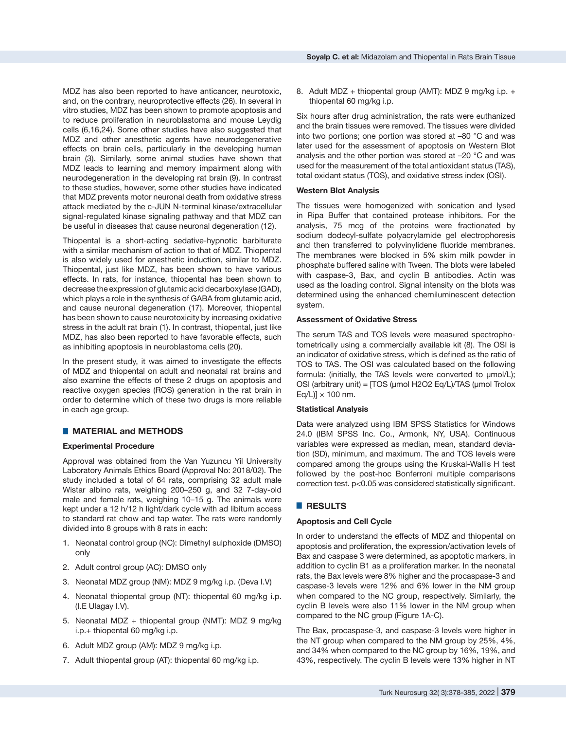MDZ has also been reported to have anticancer, neurotoxic, and, on the contrary, neuroprotective effects (26). In several in vitro studies, MDZ has been shown to promote apoptosis and to reduce proliferation in neuroblastoma and mouse Leydig cells (6,16,24). Some other studies have also suggested that MDZ and other anesthetic agents have neurodegenerative effects on brain cells, particularly in the developing human brain (3). Similarly, some animal studies have shown that MDZ leads to learning and memory impairment along with neurodegeneration in the developing rat brain (9). In contrast to these studies, however, some other studies have indicated that MDZ prevents motor neuronal death from oxidative stress attack mediated by the c-JUN N-terminal kinase/extracellular signal-regulated kinase signaling pathway and that MDZ can be useful in diseases that cause neuronal degeneration (12).

Thiopental is a short-acting sedative-hypnotic barbiturate with a similar mechanism of action to that of MDZ. Thiopental is also widely used for anesthetic induction, similar to MDZ. Thiopental, just like MDZ, has been shown to have various effects. In rats, for instance, thiopental has been shown to decrease the expression of glutamic acid decarboxylase (GAD), which plays a role in the synthesis of GABA from glutamic acid, and cause neuronal degeneration (17). Moreover, thiopental has been shown to cause neurotoxicity by increasing oxidative stress in the adult rat brain (1). In contrast, thiopental, just like MDZ, has also been reported to have favorable effects, such as inhibiting apoptosis in neuroblastoma cells (20).

In the present study, it was aimed to investigate the effects of MDZ and thiopental on adult and neonatal rat brains and also examine the effects of these 2 drugs on apoptosis and reactive oxygen species (ROS) generation in the rat brain in order to determine which of these two drugs is more reliable in each age group.

# ■ **MATERIAL and METHODS**

## **Experimental Procedure**

Approval was obtained from the Van Yuzuncu Yil University Laboratory Animals Ethics Board (Approval No: 2018/02). The study included a total of 64 rats, comprising 32 adult male Wistar albino rats, weighing 200–250 g, and 32 7-day-old male and female rats, weighing 10–15 g. The animals were kept under a 12 h/12 h light/dark cycle with ad libitum access to standard rat chow and tap water. The rats were randomly divided into 8 groups with 8 rats in each:

- 1. Neonatal control group (NC): Dimethyl sulphoxide (DMSO) only
- 2. Adult control group (AC): DMSO only
- 3. Neonatal MDZ group (NM): MDZ 9 mg/kg i.p. (Deva I.V)
- 4. Neonatal thiopental group (NT): thiopental 60 mg/kg i.p. (I.E Ulagay I.V).
- 5. Neonatal MDZ + thiopental group (NMT): MDZ 9 mg/kg i.p.+ thiopental 60 mg/kg i.p.
- 6. Adult MDZ group (AM): MDZ 9 mg/kg i.p.
- 7. Adult thiopental group (AT): thiopental 60 mg/kg i.p.

8. Adult MDZ + thiopental group (AMT): MDZ 9 mg/kg i.p. + thiopental 60 mg/kg i.p.

Six hours after drug administration, the rats were euthanized and the brain tissues were removed. The tissues were divided into two portions; one portion was stored at –80 °C and was later used for the assessment of apoptosis on Western Blot analysis and the other portion was stored at –20 °C and was used for the measurement of the total antioxidant status (TAS), total oxidant status (TOS), and oxidative stress index (OSI).

#### **Western Blot Analysis**

The tissues were homogenized with sonication and lysed in Ripa Buffer that contained protease inhibitors. For the analysis, 75 mcg of the proteins were fractionated by sodium dodecyl-sulfate polyacrylamide gel electrophoresis and then transferred to polyvinylidene fluoride membranes. The membranes were blocked in 5% skim milk powder in phosphate buffered saline with Tween. The blots were labeled with caspase-3, Bax, and cyclin B antibodies. Actin was used as the loading control. Signal intensity on the blots was determined using the enhanced chemiluminescent detection system.

#### **Assessment of Oxidative Stress**

The serum TAS and TOS levels were measured spectrophotometrically using a commercially available kit (8). The OSI is an indicator of oxidative stress, which is defined as the ratio of TOS to TAS. The OSI was calculated based on the following formula: (initially, the TAS levels were converted to µmol/L); OSI (arbitrary unit) = [TOS (µmol H2O2 Eq/L)/TAS (µmol Trolox  $Eq/L$ ]  $\times$  100 nm.

## **Statistical Analysis**

Data were analyzed using IBM SPSS Statistics for Windows 24.0 (IBM SPSS Inc. Co., Armonk, NY, USA). Continuous variables were expressed as median, mean, standard deviation (SD), minimum, and maximum. The and TOS levels were compared among the groups using the Kruskal-Wallis H test followed by the post-hoc Bonferroni multiple comparisons correction test. p<0.05 was considered statistically significant.

## █ **RESULTS**

## **Apoptosis and Cell Cycle**

In order to understand the effects of MDZ and thiopental on apoptosis and proliferation, the expression/activation levels of Bax and caspase 3 were determined, as apoptotic markers, in addition to cyclin B1 as a proliferation marker. In the neonatal rats, the Bax levels were 8% higher and the procaspase-3 and caspase-3 levels were 12% and 6% lower in the NM group when compared to the NC group, respectively. Similarly, the cyclin B levels were also 11% lower in the NM group when compared to the NC group (Figure 1A-C).

The Bax, procaspase-3, and caspase-3 levels were higher in the NT group when compared to the NM group by 25%, 4%, and 34% when compared to the NC group by 16%, 19%, and 43%, respectively. The cyclin B levels were 13% higher in NT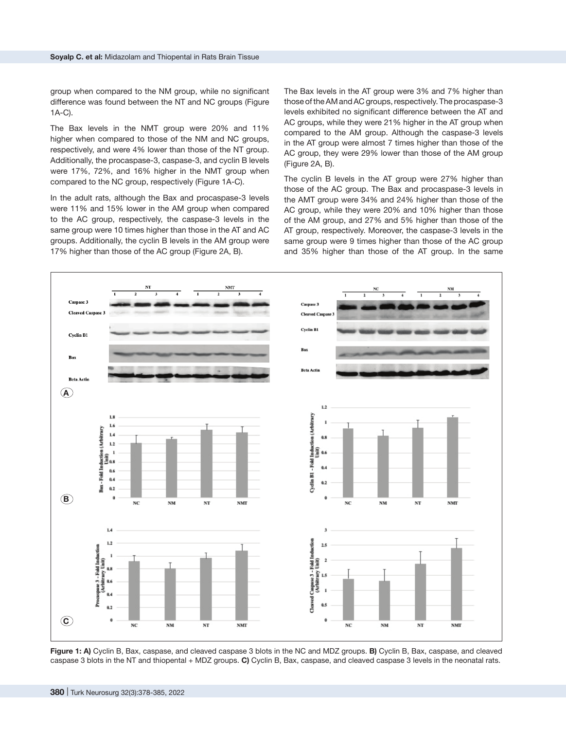group when compared to the NM group, while no significant difference was found between the NT and NC groups (Figure 1A-C).

The Bax levels in the NMT group were 20% and 11% higher when compared to those of the NM and NC groups. respectively, and were 4% lower than those of the NT group. Additionally, the procaspase-3, caspase-3, and cyclin B levels were 17%, 72%, and 16% higher in the NMT group when compared to the NC group, respectively (Figure 1A-C).

In the adult rats, although the Bax and procaspase-3 levels were 11% and 15% lower in the AM group when compared to the AC group, respectively, the caspase-3 levels in the same group were 10 times higher than those in the AT and AC groups. Additionally, the cyclin B levels in the AM group were 17% higher than those of the AC group (Figure 2A, B).

The Bax levels in the AT group were 3% and 7% higher than those of the AM and AC groups, respectively. The procaspase-3 levels exhibited no significant difference between the AT and AC groups, while they were 21% higher in the AT group when compared to the AM group. Although the caspase-3 levels in the AT group were almost 7 times higher than those of the AC group, they were 29% lower than those of the AM group (Figure 2A, B).

The cyclin B levels in the AT group were 27% higher than those of the AC group. The Bax and procaspase-3 levels in the AMT group were 34% and 24% higher than those of the AC group, while they were 20% and 10% higher than those of the AM group, and 27% and 5% higher than those of the AT group, respectively. Moreover, the caspase-3 levels in the same group were 9 times higher than those of the AC group and 35% higher than those of the AT group. In the same



**Figure 1: A)** Cyclin B, Bax, caspase, and cleaved caspase 3 blots in the NC and MDZ groups. **B)** Cyclin B, Bax, caspase, and cleaved caspase 3 blots in the NT and thiopental + MDZ groups. **C)** Cyclin B, Bax, caspase, and cleaved caspase 3 levels in the neonatal rats.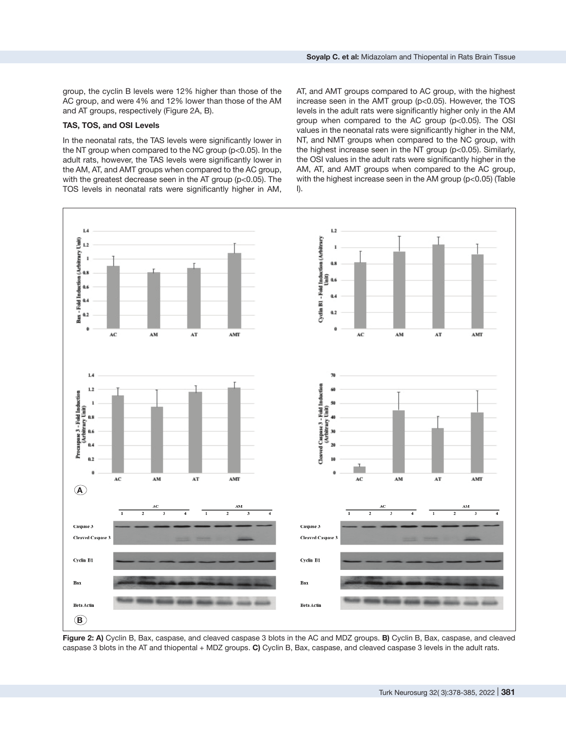group, the cyclin B levels were 12% higher than those of the AC group, and were 4% and 12% lower than those of the AM and AT groups, respectively (Figure 2A, B).

#### **TAS, TOS, and OSI Levels**

In the neonatal rats, the TAS levels were significantly lower in the NT group when compared to the NC group (p<0.05). In the adult rats, however, the TAS levels were significantly lower in the AM, AT, and AMT groups when compared to the AC group, with the greatest decrease seen in the AT group (p<0.05). The TOS levels in neonatal rats were significantly higher in AM,

AT, and AMT groups compared to AC group, with the highest increase seen in the AMT group (p<0.05). However, the TOS levels in the adult rats were significantly higher only in the AM group when compared to the AC group (p<0.05). The OSI values in the neonatal rats were significantly higher in the NM, NT, and NMT groups when compared to the NC group, with the highest increase seen in the NT group (p<0.05). Similarly, the OSI values in the adult rats were significantly higher in the AM, AT, and AMT groups when compared to the AC group, with the highest increase seen in the AM group (p<0.05) (Table I).



**Figure 2: A)** Cyclin B, Bax, caspase, and cleaved caspase 3 blots in the AC and MDZ groups. **B)** Cyclin B, Bax, caspase, and cleaved caspase 3 blots in the AT and thiopental + MDZ groups. **C)** Cyclin B, Bax, caspase, and cleaved caspase 3 levels in the adult rats.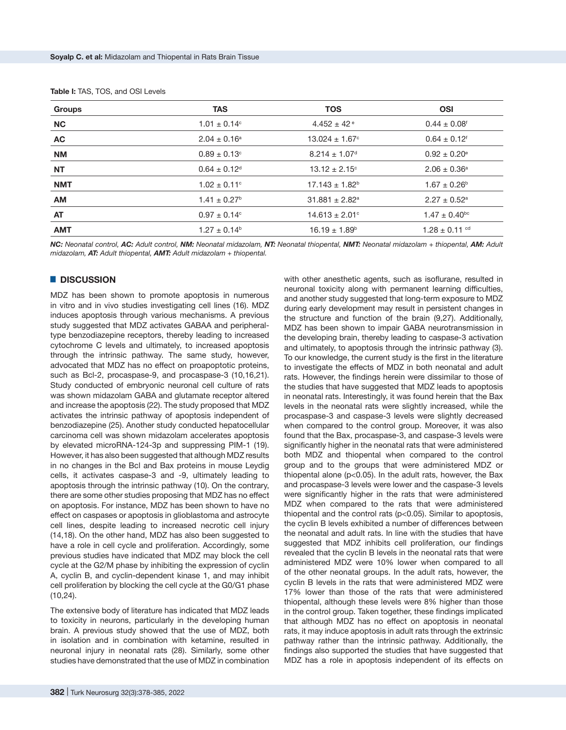| <b>Groups</b> | <b>TAS</b>                   | <b>TOS</b>                     | <b>OSI</b>                    |  |
|---------------|------------------------------|--------------------------------|-------------------------------|--|
| <b>NC</b>     | $1.01 \pm 0.14^{\circ}$      | $4.452 \pm 42$ <sup>e</sup>    | $0.44 \pm 0.08$ <sup>f</sup>  |  |
| <b>AC</b>     | $2.04 \pm 0.16^a$            | $13.024 \pm 1.67$ °            | $0.64 \pm 0.12$ <sup>f</sup>  |  |
| <b>NM</b>     | $0.89 \pm 0.13$ °            | $8.214 \pm 1.07$ <sup>d</sup>  | $0.92 \pm 0.20^{\circ}$       |  |
| <b>NT</b>     | $0.64 \pm 0.12$ <sup>d</sup> | $13.12 \pm 2.15^{\circ}$       | $2.06 \pm 0.36^a$             |  |
| <b>NMT</b>    | $1.02 \pm 0.11$ °            | $17.143 \pm 1.82^b$            | $1.67 \pm 0.26^{\circ}$       |  |
| <b>AM</b>     | $1.41 \pm 0.27^{\circ}$      | $31.881 \pm 2.82$ <sup>a</sup> | $2.27 \pm 0.52$ <sup>a</sup>  |  |
| <b>AT</b>     | $0.97 \pm 0.14^{\circ}$      | $14.613 \pm 2.01$ °            | $1.47 \pm 0.40$ <sup>bc</sup> |  |
| <b>AMT</b>    | $1.27 \pm 0.14^{\circ}$      | $16.19 \pm 1.89^{\circ}$       | $1.28 \pm 0.11$ <sup>cd</sup> |  |

|  |  |  |  |  |  | <b>Table I:</b> TAS, TOS, and OSI Levels |
|--|--|--|--|--|--|------------------------------------------|
|--|--|--|--|--|--|------------------------------------------|

*NC: Neonatal control, AC: Adult control, NM: Neonatal midazolam, NT: Neonatal thiopental, NMT: Neonatal midazolam + thiopental, AM: Adult midazolam, AT: Adult thiopental, AMT: Adult midazolam + thiopental.*

#### █ **DISCUSSION**

MDZ has been shown to promote apoptosis in numerous in vitro and in vivo studies investigating cell lines (16). MDZ induces apoptosis through various mechanisms. A previous study suggested that MDZ activates GABAA and peripheraltype benzodiazepine receptors, thereby leading to increased cytochrome C levels and ultimately, to increased apoptosis through the intrinsic pathway. The same study, however, advocated that MDZ has no effect on proapoptotic proteins, such as Bcl-2, procaspase-9, and procaspase-3 (10,16,21). Study conducted of embryonic neuronal cell culture of rats was shown midazolam GABA and glutamate receptor altered and increase the apoptosis (22). The study proposed that MDZ activates the intrinsic pathway of apoptosis independent of benzodiazepine (25). Another study conducted hepatocellular carcinoma cell was shown midazolam accelerates apoptosis by elevated microRNA-124-3p and suppressing PIM-1 (19). However, it has also been suggested that although MDZ results in no changes in the Bcl and Bax proteins in mouse Leydig cells, it activates caspase-3 and -9, ultimately leading to apoptosis through the intrinsic pathway (10). On the contrary, there are some other studies proposing that MDZ has no effect on apoptosis. For instance, MDZ has been shown to have no effect on caspases or apoptosis in glioblastoma and astrocyte cell lines, despite leading to increased necrotic cell injury (14,18). On the other hand, MDZ has also been suggested to have a role in cell cycle and proliferation. Accordingly, some previous studies have indicated that MDZ may block the cell cycle at the G2/M phase by inhibiting the expression of cyclin A, cyclin B, and cyclin-dependent kinase 1, and may inhibit cell proliferation by blocking the cell cycle at the G0/G1 phase (10,24).

The extensive body of literature has indicated that MDZ leads to toxicity in neurons, particularly in the developing human brain. A previous study showed that the use of MDZ, both in isolation and in combination with ketamine, resulted in neuronal injury in neonatal rats (28). Similarly, some other studies have demonstrated that the use of MDZ in combination

with other anesthetic agents, such as isoflurane, resulted in neuronal toxicity along with permanent learning difficulties, and another study suggested that long-term exposure to MDZ during early development may result in persistent changes in the structure and function of the brain (9,27). Additionally, MDZ has been shown to impair GABA neurotransmission in the developing brain, thereby leading to caspase-3 activation and ultimately, to apoptosis through the intrinsic pathway (3). To our knowledge, the current study is the first in the literature to investigate the effects of MDZ in both neonatal and adult rats. However, the findings herein were dissimilar to those of the studies that have suggested that MDZ leads to apoptosis in neonatal rats. Interestingly, it was found herein that the Bax levels in the neonatal rats were slightly increased, while the procaspase-3 and caspase-3 levels were slightly decreased when compared to the control group. Moreover, it was also found that the Bax, procaspase-3, and caspase-3 levels were significantly higher in the neonatal rats that were administered both MDZ and thiopental when compared to the control group and to the groups that were administered MDZ or thiopental alone (p<0.05). In the adult rats, however, the Bax and procaspase-3 levels were lower and the caspase-3 levels were significantly higher in the rats that were administered MDZ when compared to the rats that were administered thiopental and the control rats (p<0.05). Similar to apoptosis, the cyclin B levels exhibited a number of differences between the neonatal and adult rats. In line with the studies that have suggested that MDZ inhibits cell proliferation, our findings revealed that the cyclin B levels in the neonatal rats that were administered MDZ were 10% lower when compared to all of the other neonatal groups. In the adult rats, however, the cyclin B levels in the rats that were administered MDZ were 17% lower than those of the rats that were administered thiopental, although these levels were 8% higher than those in the control group. Taken together, these findings implicated that although MDZ has no effect on apoptosis in neonatal rats, it may induce apoptosis in adult rats through the extrinsic pathway rather than the intrinsic pathway. Additionally, the findings also supported the studies that have suggested that MDZ has a role in apoptosis independent of its effects on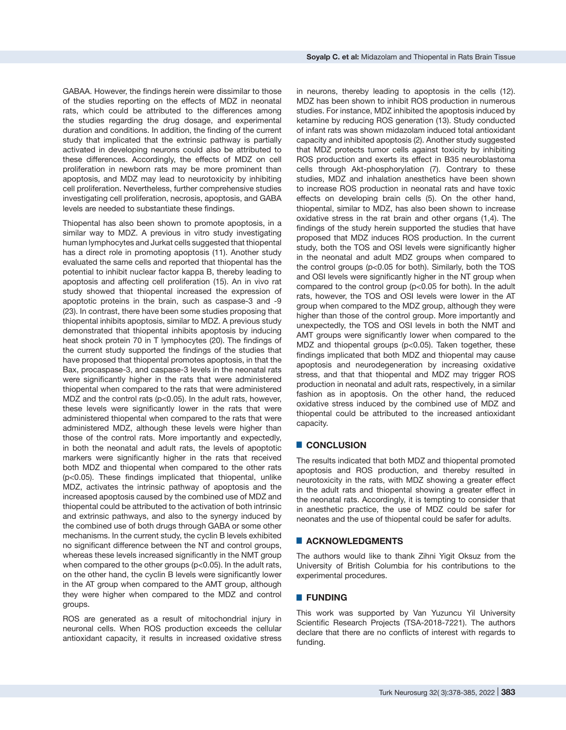GABAA. However, the findings herein were dissimilar to those of the studies reporting on the effects of MDZ in neonatal rats, which could be attributed to the differences among the studies regarding the drug dosage, and experimental duration and conditions. In addition, the finding of the current study that implicated that the extrinsic pathway is partially activated in developing neurons could also be attributed to these differences. Accordingly, the effects of MDZ on cell proliferation in newborn rats may be more prominent than apoptosis, and MDZ may lead to neurotoxicity by inhibiting cell proliferation. Nevertheless, further comprehensive studies investigating cell proliferation, necrosis, apoptosis, and GABA levels are needed to substantiate these findings.

Thiopental has also been shown to promote apoptosis, in a similar way to MDZ. A previous in vitro study investigating human lymphocytes and Jurkat cells suggested that thiopental has a direct role in promoting apoptosis (11). Another study evaluated the same cells and reported that thiopental has the potential to inhibit nuclear factor kappa B, thereby leading to apoptosis and affecting cell proliferation (15). An in vivo rat study showed that thiopental increased the expression of apoptotic proteins in the brain, such as caspase-3 and -9 (23). In contrast, there have been some studies proposing that thiopental inhibits apoptosis, similar to MDZ. A previous study demonstrated that thiopental inhibits apoptosis by inducing heat shock protein 70 in T lymphocytes (20). The findings of the current study supported the findings of the studies that have proposed that thiopental promotes apoptosis, in that the Bax, procaspase-3, and caspase-3 levels in the neonatal rats were significantly higher in the rats that were administered thiopental when compared to the rats that were administered MDZ and the control rats (p<0.05). In the adult rats, however, these levels were significantly lower in the rats that were administered thiopental when compared to the rats that were administered MDZ, although these levels were higher than those of the control rats. More importantly and expectedly, in both the neonatal and adult rats, the levels of apoptotic markers were significantly higher in the rats that received both MDZ and thiopental when compared to the other rats (p<0.05). These findings implicated that thiopental, unlike MDZ, activates the intrinsic pathway of apoptosis and the increased apoptosis caused by the combined use of MDZ and thiopental could be attributed to the activation of both intrinsic and extrinsic pathways, and also to the synergy induced by the combined use of both drugs through GABA or some other mechanisms. In the current study, the cyclin B levels exhibited no significant difference between the NT and control groups, whereas these levels increased significantly in the NMT group when compared to the other groups (p<0.05). In the adult rats, on the other hand, the cyclin B levels were significantly lower in the AT group when compared to the AMT group, although they were higher when compared to the MDZ and control groups.

ROS are generated as a result of mitochondrial injury in neuronal cells. When ROS production exceeds the cellular antioxidant capacity, it results in increased oxidative stress

in neurons, thereby leading to apoptosis in the cells (12). MDZ has been shown to inhibit ROS production in numerous studies. For instance, MDZ inhibited the apoptosis induced by ketamine by reducing ROS generation (13). Study conducted of infant rats was shown midazolam induced total antioxidant capacity and inhibited apoptosis (2). Another study suggested that MDZ protects tumor cells against toxicity by inhibiting ROS production and exerts its effect in B35 neuroblastoma cells through Akt-phosphorylation (7). Contrary to these studies, MDZ and inhalation anesthetics have been shown to increase ROS production in neonatal rats and have toxic effects on developing brain cells (5). On the other hand, thiopental, similar to MDZ, has also been shown to increase oxidative stress in the rat brain and other organs (1,4). The findings of the study herein supported the studies that have proposed that MDZ induces ROS production. In the current study, both the TOS and OSI levels were significantly higher in the neonatal and adult MDZ groups when compared to the control groups (p<0.05 for both). Similarly, both the TOS and OSI levels were significantly higher in the NT group when compared to the control group (p<0.05 for both). In the adult rats, however, the TOS and OSI levels were lower in the AT group when compared to the MDZ group, although they were higher than those of the control group. More importantly and unexpectedly, the TOS and OSI levels in both the NMT and AMT groups were significantly lower when compared to the MDZ and thiopental groups (p<0.05). Taken together, these findings implicated that both MDZ and thiopental may cause apoptosis and neurodegeneration by increasing oxidative stress, and that that thiopental and MDZ may trigger ROS production in neonatal and adult rats, respectively, in a similar fashion as in apoptosis. On the other hand, the reduced oxidative stress induced by the combined use of MDZ and thiopental could be attributed to the increased antioxidant capacity.

## █ **CONCLUSION**

The results indicated that both MDZ and thiopental promoted apoptosis and ROS production, and thereby resulted in neurotoxicity in the rats, with MDZ showing a greater effect in the adult rats and thiopental showing a greater effect in the neonatal rats. Accordingly, it is tempting to consider that in anesthetic practice, the use of MDZ could be safer for neonates and the use of thiopental could be safer for adults.

## █ **ACKNOWLEDGMENTS**

The authors would like to thank Zihni Yigit Oksuz from the University of British Columbia for his contributions to the experimental procedures.

# █ **FUNDING**

This work was supported by Van Yuzuncu Yil University Scientific Research Projects (TSA-2018-7221). The authors declare that there are no conflicts of interest with regards to funding.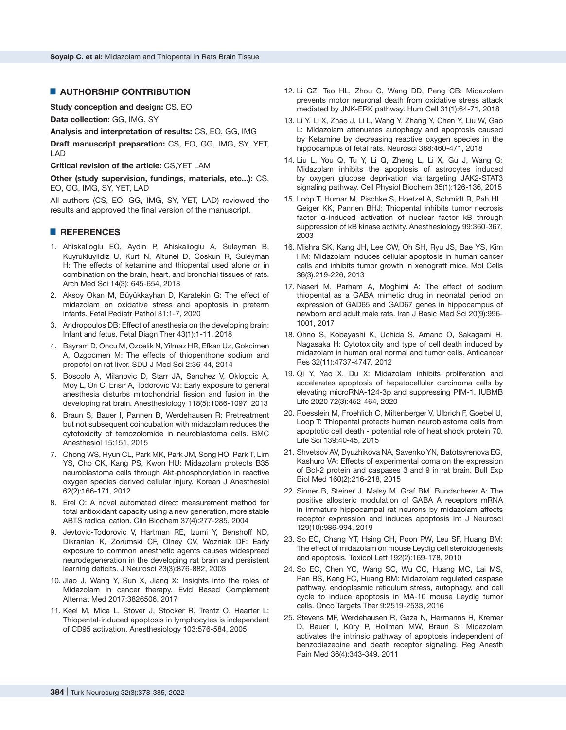## █ **AUTHORSHIP CONTRIBUTION**

**Study conception and design:** CS, EO

**Data collection:** GG, IMG, SY

**Analysis and interpretation of results:** CS, EO, GG, IMG

**Draft manuscript preparation:** CS, EO, GG, IMG, SY, YET, LAD

**Critical revision of the article:** CS,YET LAM

**Other (study supervision, fundings, materials, etc...):** CS, EO, GG, IMG, SY, YET, LAD

All authors (CS, EO, GG, IMG, SY, YET, LAD) reviewed the results and approved the final version of the manuscript.

## █ **REFERENCES**

- 1. Ahiskalioglu EO, Aydin P, Ahiskalioglu A, Suleyman B, Kuyrukluyildiz U, Kurt N, Altunel D, Coskun R, Suleyman H: The effects of ketamine and thiopental used alone or in combination on the brain, heart, and bronchial tissues of rats. Arch Med Sci 14(3): 645-654, 2018
- 2. [Aksoy Okan](https://pubmed.ncbi.nlm.nih.gov/?term=Okan+MA&cauthor_id=32000555) M, [Büyükkayhan](https://pubmed.ncbi.nlm.nih.gov/?term=B%C3%BCy%C3%BCkkayhan+D&cauthor_id=32000555) D, [Karatekin](https://pubmed.ncbi.nlm.nih.gov/?term=Karatekin+G&cauthor_id=32000555) G: The effect of midazolam on oxidative stress and apoptosis in preterm infants. Fetal Pediatr Pathol 31:1-7, 2020
- 3. Andropoulos DB: Effect of anesthesia on the developing brain: Infant and fetus. Fetal Diagn Ther 43(1):1-11, 2018
- 4. Bayram D, Oncu M, Ozcelik N, Yilmaz HR, Efkan Uz, Gokcimen A, Ozgocmen M: The effects of thiopenthone sodium and propofol on rat liver. SDU J Med Sci 2:36-44, 2014
- 5. Boscolo A, Milanovic D, Starr JA, Sanchez V, Oklopcic A, Moy L, Ori C, Erisir A, Todorovic VJ: Early exposure to general anesthesia disturbs mitochondrial fission and fusion in the developing rat brain. Anesthesiology 118(5):1086-1097, 2013
- 6. Braun S, Bauer I, Pannen B, Werdehausen R: Pretreatment but not subsequent coincubation with midazolam reduces the cytotoxicity of temozolomide in neuroblastoma cells. BMC Anesthesiol 15:151, 2015
- 7. Chong WS, Hyun CL, Park MK, Park JM, Song HO, Park T, [Lim](https://europepmc.org/search?query=AUTH:%22Young Su Lim%22) [YS,](https://europepmc.org/search?query=AUTH:%22Young Su Lim%22) [Cho CK,](https://europepmc.org/search?query=AUTH:%22Choon Kyu Cho%22) [Kang PS,](https://europepmc.org/search?query=AUTH:%22Po Soon Kang%22) [Kwon HU](https://europepmc.org/search?query=AUTH:%22Hee Uk Kwon%22): Midazolam protects B35 neuroblastoma cells through Akt-phosphorylation in reactive oxygen species derived cellular injury. Korean J Anesthesiol 62(2):166-171, 2012
- 8. Erel O: A novel automated direct measurement method for total antioxidant capacity using a new generation, more stable ABTS radical cation. Clin Biochem 37(4):277-285, 2004
- 9. Jevtovic-Todorovic V, Hartman RE, Izumi Y, Benshoff ND, Dikranian K, Zorumski CF, Olney CV, Wozniak DF: Early exposure to common anesthetic agents causes widespread neurodegeneration in the developing rat brain and persistent learning deficits. J Neurosci 23(3):876-882, 2003
- 10. Jiao J, Wang Y, Sun X, Jiang X: Insights into the roles of Midazolam in cancer therapy. Evid Based Complement Alternat Med 2017:3826506, 2017
- 11. Keel M, Mica L, Stover J, Stocker R, Trentz O, Haarter L: Thiopental-induced apoptosis in lymphocytes is independent of CD95 activation. Anesthesiology 103:576-584, 2005
- 12. Li GZ, Tao HL, Zhou C, Wang DD, Peng CB: Midazolam prevents motor neuronal death from oxidative stress attack mediated by JNK-ERK pathway. Hum Cell 31(1):64-71, 2018
- 13. Li Y, Li X, Zhao J, Li L, Wang Y, Zhang Y, Chen Y, Liu W, Gao L: Midazolam attenuates autophagy and apoptosis caused by Ketamine by decreasing reactive oxygen species in the hippocampus of fetal rats. Neurosci 388:460-471, 2018
- 14. Liu L, You Q, Tu Y, Li Q, Zheng L, Li X, Gu J, Wang G: Midazolam inhibits the apoptosis of astrocytes induced by oxygen glucose deprivation via targeting JAK2-STAT3 signaling pathway. Cell Physiol Biochem 35(1):126-136, 2015
- 15. Loop T, Humar M, Pischke S, Hoetzel A, Schmidt R, Pah HL, [Geiger](https://pubmed.ncbi.nlm.nih.gov/?term=Geiger+KK&cauthor_id=12883408) KK, [Pannen](https://pubmed.ncbi.nlm.nih.gov/?term=Pannen+BH&cauthor_id=12883408) BHJ: Thiopental inhibits tumor necrosis factor α-induced activation of nuclear factor kB through suppression of kB kinase activity. Anesthesiology 99:360-367, 2003
- 16. Mishra SK, Kang JH, Lee CW, Oh SH, Ryu JS, Bae YS, Kim HM: Midazolam induces cellular apoptosis in human cancer cells and inhibits tumor growth in xenograft mice. Mol Cells 36(3):219-226, 2013
- 17. Naseri M, Parham A, Moghimi A: The effect of sodium thiopental as a GABA mimetic drug in neonatal period on expression of GAD65 and GAD67 genes in hippocampus of newborn and adult male rats. Iran J Basic Med Sci 20(9):996- 1001, 2017
- 18. Ohno S, Kobayashi K, Uchida S, Amano O, Sakagami H, Nagasaka H: Cytotoxicity and type of cell death induced by midazolam in human oral normal and tumor cells. Anticancer Res 32(11):4737-4747, 2012
- 19. [Qi](https://pubmed.ncbi.nlm.nih.gov/?term=Qi+Y&cauthor_id=31651086) Y, [Yao](https://pubmed.ncbi.nlm.nih.gov/?term=Yao+X&cauthor_id=31651086) X, [Du](https://pubmed.ncbi.nlm.nih.gov/?term=Du+X&cauthor_id=31651086) X: Midazolam inhibits proliferation and accelerates apoptosis of hepatocellular carcinoma cells by elevating microRNA-124-3p and suppressing PIM-1. IUBMB Life 2020 72(3):452-464, 2020
- 20. Roesslein M, Froehlich C, Miltenberger V, Ulbrich F, Goebel U, Loop T: Thiopental protects human neuroblastoma cells from apoptotic cell death - potential role of heat shock protein 70. Life Sci 139:40-45, 2015
- 21. Shvetsov AV, Dyuzhikova NA, Savenko YN, Batotsyrenova EG, Kashuro VA: Effects of experimental coma on the expression of Bcl-2 protein and caspases 3 and 9 in rat brain. Bull Exp Biol Med 160(2):216-218, 2015
- 22. [Sinner](https://pubmed.ncbi.nlm.nih.gov/?term=Sinner+B&cauthor_id=30957600) B, [Steiner](https://pubmed.ncbi.nlm.nih.gov/?term=Steiner+J&cauthor_id=30957600) J, [Malsy](https://pubmed.ncbi.nlm.nih.gov/?term=Malsy+M&cauthor_id=30957600) M, [Graf](https://pubmed.ncbi.nlm.nih.gov/?term=Graf+BM&cauthor_id=30957600) BM, [Bundscherer](https://pubmed.ncbi.nlm.nih.gov/?term=Bundscherer+A&cauthor_id=30957600) A: The positive allosteric modulation of GABA A receptors mRNA in immature hippocampal rat neurons by midazolam affects receptor expression and induces apoptosis Int J Neurosci 129(10):986-994, 2019
- 23. So EC, Chang YT, Hsing CH, Poon PW, Leu SF, Huang BM: The effect of midazolam on mouse Leydig cell steroidogenesis and apoptosis. Toxicol Lett 192(2):169-178, 2010
- 24. So EC, Chen YC, Wang SC, Wu CC, Huang MC, Lai MS, Pan BS, Kang FC, Huang BM: Midazolam regulated caspase pathway, endoplasmic reticulum stress, autophagy, and cell cycle to induce apoptosis in MA-10 mouse Leydig tumor cells. Onco Targets Ther 9:2519-2533, 2016
- 25. Stevens MF, Werdehausen R, Gaza N, Hermanns H, Kremer D, Bauer I, Küry P, Hollman MW, Braun S: Midazolam activates the intrinsic pathway of apoptosis independent of benzodiazepine and death receptor signaling. Reg Anesth Pain Med 36(4):343-349, 2011